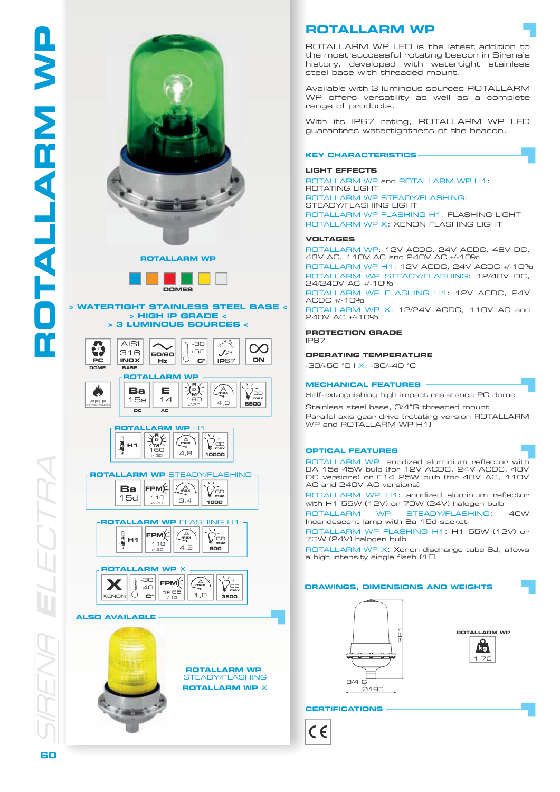

**ROTALLARM WP**



## **> WATERTIGHT STAINLESS STEEL BASE < > HIGH IP GRADE < > 3 LUMINOUS SOURCES <**







**ROTALLARM WP** STEADY/FLASHING 110 +/-20 **FPM** 15d **Ba**  $\sqrt{A}$ 3,4 **max** CD **max**

**1000**





**ALSO AVAILABLE**



# **ROTALLARM WP**

ROTALLARM WP LED is the latest addition to the most successful rotating beacon in Sirena's history, developed with watertight stainless steel base with threaded mount.

Available with 3 luminous sources ROTALLARM WP offers versatility as well as a complete range of products.

With its IP67 rating, ROTALLARM WP LED guarantees watertightness of the beacon.

## **KEY CHARACTERISTICS**

## **LIGHT EFFECTS**

ROTALLARM WP and ROTALLARM WP H1: ROTATING LIGHT ROTALLARM WP STEADY/FLASHING: STEADY/FLASHING LIGHT ROTALLARM WP FLASHING H1: FLASHING LIGHT ROTALLARM WP X: XENON FLASHING LIGHT

#### **VOLTAGES**

ROTALLARM WP: 12V ACDC, 24V ACDC, 48V DC, 48V AC , 110V AC and 240V AC +/-10%

ROTALLARM WP H1: 12V ACDC , 24V ACDC +/-10% ROTALLARM WP STEADY/FLASHING: 12/48V DC, 24/24 0V A C +/-10% ROTALLARM WP FLASHING H1: 12V ACDC , 24V ACDC +/-10%

ROTALLARM WP X: 12/24V ACDC, 110V AC and 240V A C +/-10%

**PROTECTION GRADE** IP67

## **OPERATING TEMPERATURE**

-30/+50 °C | X: -30/+40 °C

## **MECHANICAL FEATURES**

Self-extinguishing high impact resistance PC dome

Stainless steel base, 3/4"G threaded mount

Parallel axis gear drive (rotating version ROTALLARM WP and ROTALLARM WP H1)

## **OPTICAL FEATURES**

ROTALLARM WP: anodized aluminium reflector with BA 15s 45W bulb (for 12V A C D C, 24V AC D C, 4 8V DC versions) or E14 25W bulb (for 48V AC, 110V AC and 240V AC versions)

ROTALLARM WP H1 : a nodized a l umini um r eflector with H1 55W (12V) or 70W (24V) halogen bulb

ROTALLARM WP STEADY/FLASHING  $4$  $\cap$  $M$ Incandescent lamp with Ba 15d socket

ROTALLARM WP FLASHING H1: H1 55W (12V) or 70W (24V) halo gen bulb

ROTALLARM WP X: Xenon discharge tube 6J, allows a high intensity single flash (1F)





**ROTALLARM WP R** 



# **CERTIFICATIONS**